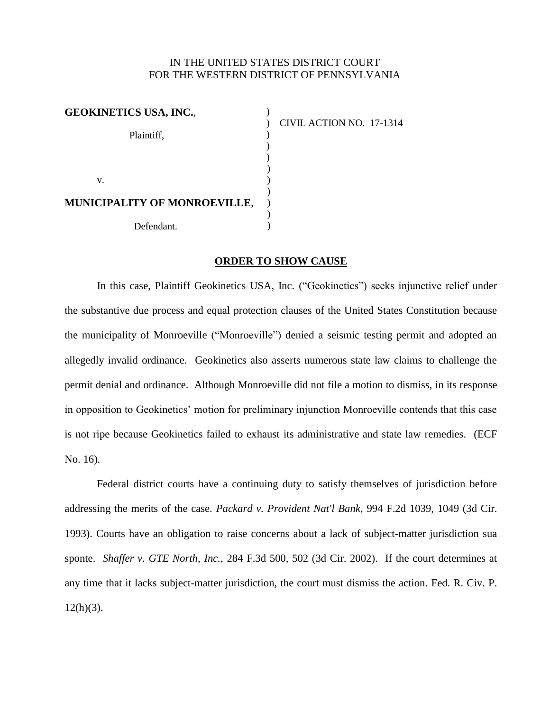## IN THE UNITED STATES DISTRICT COURT FOR THE WESTERN DISTRICT OF PENNSYLVANIA

| <b>GEOKINETICS USA, INC.,</b>       |  |
|-------------------------------------|--|
|                                     |  |
| Plaintiff,                          |  |
|                                     |  |
|                                     |  |
| V.                                  |  |
| <b>MUNICIPALITY OF MONROEVILLE,</b> |  |
|                                     |  |
| Defendant.                          |  |

CIVIL ACTION NO. 17-1314

## **ORDER TO SHOW CAUSE**

In this case, Plaintiff Geokinetics USA, Inc. ("Geokinetics") seeks injunctive relief under the substantive due process and equal protection clauses of the United States Constitution because the municipality of Monroeville ("Monroeville") denied a seismic testing permit and adopted an allegedly invalid ordinance. Geokinetics also asserts numerous state law claims to challenge the permit denial and ordinance. Although Monroeville did not file a motion to dismiss, in its response in opposition to Geokinetics' motion for preliminary injunction Monroeville contends that this case is not ripe because Geokinetics failed to exhaust its administrative and state law remedies. (ECF No. 16).

Federal district courts have a continuing duty to satisfy themselves of jurisdiction before addressing the merits of the case. *Packard v. Provident Nat'l Bank*, 994 F.2d 1039, 1049 (3d Cir. 1993). Courts have an obligation to raise concerns about a lack of subject-matter jurisdiction sua sponte. *Shaffer v. GTE North, Inc.,* 284 F.3d 500, 502 (3d Cir. 2002). If the court determines at any time that it lacks subject-matter jurisdiction, the court must dismiss the action. Fed. R. Civ. P.  $12(h)(3)$ .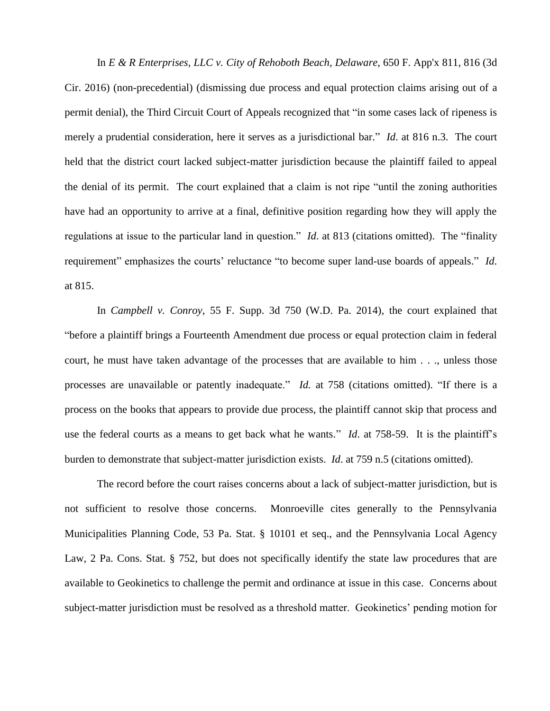In *E & R Enterprises, LLC v. City of Rehoboth Beach, Delaware*, 650 F. App'x 811, 816 (3d Cir. 2016) (non-precedential) (dismissing due process and equal protection claims arising out of a permit denial), the Third Circuit Court of Appeals recognized that "in some cases lack of ripeness is merely a prudential consideration, here it serves as a jurisdictional bar." *Id*. at 816 n.3. The court held that the district court lacked subject-matter jurisdiction because the plaintiff failed to appeal the denial of its permit. The court explained that a claim is not ripe "until the zoning authorities have had an opportunity to arrive at a final, definitive position regarding how they will apply the regulations at issue to the particular land in question." *Id*. at 813 (citations omitted). The "finality requirement" emphasizes the courts' reluctance "to become super land-use boards of appeals." *Id*. at 815.

In *Campbell v. Conroy*, 55 F. Supp. 3d 750 (W.D. Pa. 2014), the court explained that "before a plaintiff brings a Fourteenth Amendment due process or equal protection claim in federal court, he must have taken advantage of the processes that are available to him . . ., unless those processes are unavailable or patently inadequate." *Id.* at 758 (citations omitted). "If there is a process on the books that appears to provide due process, the plaintiff cannot skip that process and use the federal courts as a means to get back what he wants." *Id*. at 758-59. It is the plaintiff's burden to demonstrate that subject-matter jurisdiction exists. *Id*. at 759 n.5 (citations omitted).

The record before the court raises concerns about a lack of subject-matter jurisdiction, but is not sufficient to resolve those concerns. Monroeville cites generally to the Pennsylvania Municipalities Planning Code, 53 Pa. Stat. § 10101 et seq., and the Pennsylvania Local Agency Law, 2 Pa. Cons. Stat. § 752, but does not specifically identify the state law procedures that are available to Geokinetics to challenge the permit and ordinance at issue in this case. Concerns about subject-matter jurisdiction must be resolved as a threshold matter. Geokinetics' pending motion for